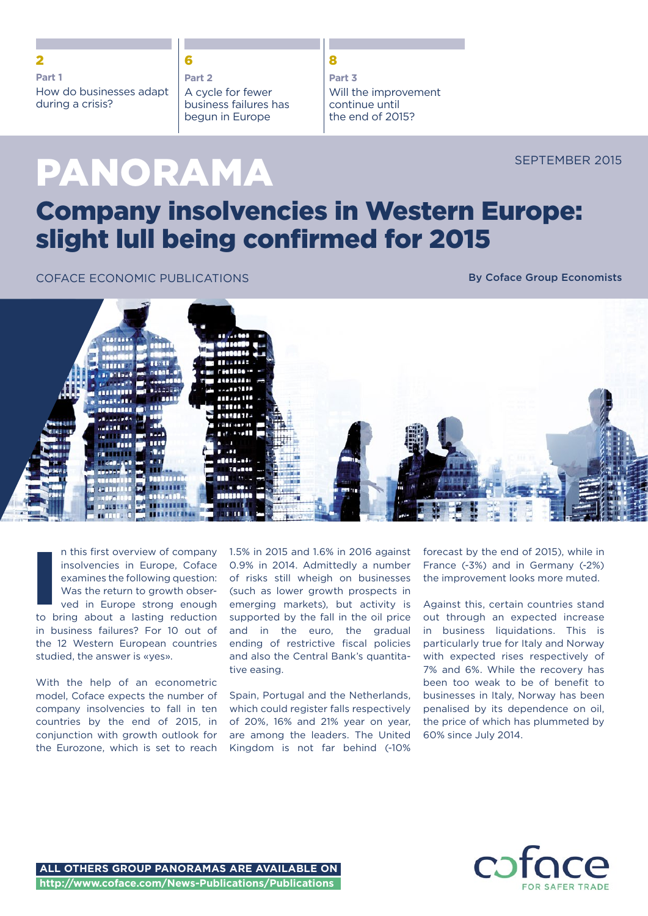### 2 6 8

#### **Part 1**

How do businesses adapt during a crisis?

#### **Part 2**

A cycle for fewer business failures has begun in Europe

## **Part 3** Will the improvement continue until the end of 2015?

SEPTEMBER 2015

# Company insolvencies in Western Europe: slight lull being confirmed for 2015

COFACE ECONOMIC PUBLICATIONS

PANORAMA

By Coface Group Economists



n this first overview of company insolvencies in Europe, Coface examines the following question: Was the return to growth observed in Europe strong enough to bring about a lasting reduction in business failures? For 10 out of the 12 Western European countries studied, the answer is «yes». I<br>I<br>I<br>I<br>I<br>I<br>I<br>I

With the help of an econometric model, Coface expects the number of company insolvencies to fall in ten countries by the end of 2015, in conjunction with growth outlook for the Eurozone, which is set to reach 1.5% in 2015 and 1.6% in 2016 against 0.9% in 2014. Admittedly a number of risks still wheigh on businesses (such as lower growth prospects in emerging markets), but activity is supported by the fall in the oil price and in the euro, the gradual ending of restrictive fiscal policies and also the Central Bank's quantitative easing.

Spain, Portugal and the Netherlands, which could register falls respectively of 20%, 16% and 21% year on year, are among the leaders. The United Kingdom is not far behind (-10%

forecast by the end of 2015), while in France (-3%) and in Germany (-2%) the improvement looks more muted.

Against this, certain countries stand out through an expected increase in business liquidations. This is particularly true for Italy and Norway with expected rises respectively of 7% and 6%. While the recovery has been too weak to be of benefit to businesses in Italy, Norway has been penalised by its dependence on oil, the price of which has plummeted by 60% since July 2014.

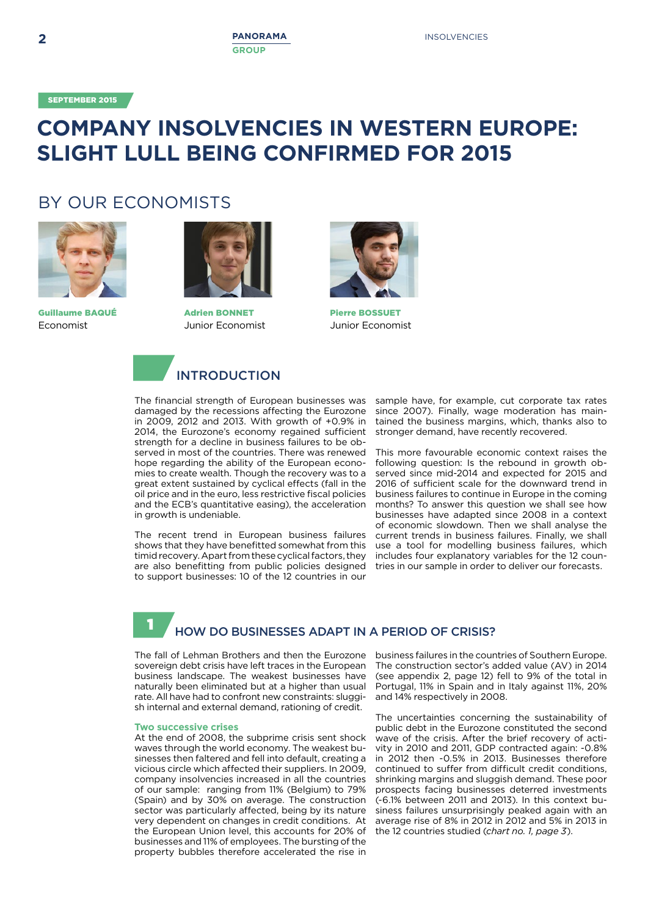SEPTEMBER 2015

# **COMPANY INSOLVENCIES IN WESTERN EUROPE: SLIGHT LULL BEING CONFIRMED FOR 2015**

# BY OUR ECONOMISTS



Guillaume BAQUÉ Economist



Adrien BONNET Junior Economist



Pierre BOSSUET Junior Economist



# INTRODUCTION

The financial strength of European businesses was damaged by the recessions affecting the Eurozone in 2009, 2012 and 2013. With growth of +0.9% in 2014, the Eurozone's economy regained sufficient strength for a decline in business failures to be observed in most of the countries. There was renewed hope regarding the ability of the European economies to create wealth. Though the recovery was to a great extent sustained by cyclical effects (fall in the oil price and in the euro, less restrictive fiscal policies and the ECB's quantitative easing), the acceleration in growth is undeniable.

The recent trend in European business failures shows that they have benefitted somewhat from this timid recovery. Apart from these cyclical factors, they are also benefitting from public policies designed to support businesses: 10 of the 12 countries in our

sample have, for example, cut corporate tax rates since 2007). Finally, wage moderation has maintained the business margins, which, thanks also to stronger demand, have recently recovered.

This more favourable economic context raises the following question: Is the rebound in growth observed since mid-2014 and expected for 2015 and 2016 of sufficient scale for the downward trend in business failures to continue in Europe in the coming months? To answer this question we shall see how businesses have adapted since 2008 in a context of economic slowdown. Then we shall analyse the current trends in business failures. Finally, we shall use a tool for modelling business failures, which includes four explanatory variables for the 12 countries in our sample in order to deliver our forecasts.

#### HOW DO BUSINESSES ADAPT IN A PERIOD OF CRISIS? 1

The fall of Lehman Brothers and then the Eurozone sovereign debt crisis have left traces in the European business landscape. The weakest businesses have naturally been eliminated but at a higher than usual rate. All have had to confront new constraints: sluggish internal and external demand, rationing of credit.

#### **Two successive crises**

At the end of 2008, the subprime crisis sent shock waves through the world economy. The weakest businesses then faltered and fell into default, creating a vicious circle which affected their suppliers. In 2009, company insolvencies increased in all the countries of our sample: ranging from 11% (Belgium) to 79% (Spain) and by 30% on average. The construction sector was particularly affected, being by its nature very dependent on changes in credit conditions. At the European Union level, this accounts for 20% of businesses and 11% of employees. The bursting of the property bubbles therefore accelerated the rise in

business failures in the countries of Southern Europe. The construction sector's added value (AV) in 2014 (see appendix 2, page 12) fell to 9% of the total in Portugal, 11% in Spain and in Italy against 11%, 20% and 14% respectively in 2008.

The uncertainties concerning the sustainability of public debt in the Eurozone constituted the second wave of the crisis. After the brief recovery of activity in 2010 and 2011, GDP contracted again: -0.8% in 2012 then -0.5% in 2013. Businesses therefore continued to suffer from difficult credit conditions, shrinking margins and sluggish demand. These poor prospects facing businesses deterred investments (-6.1% between 2011 and 2013). In this context business failures unsurprisingly peaked again with an average rise of 8% in 2012 in 2012 and 5% in 2013 in the 12 countries studied (*chart no. 1, page 3*).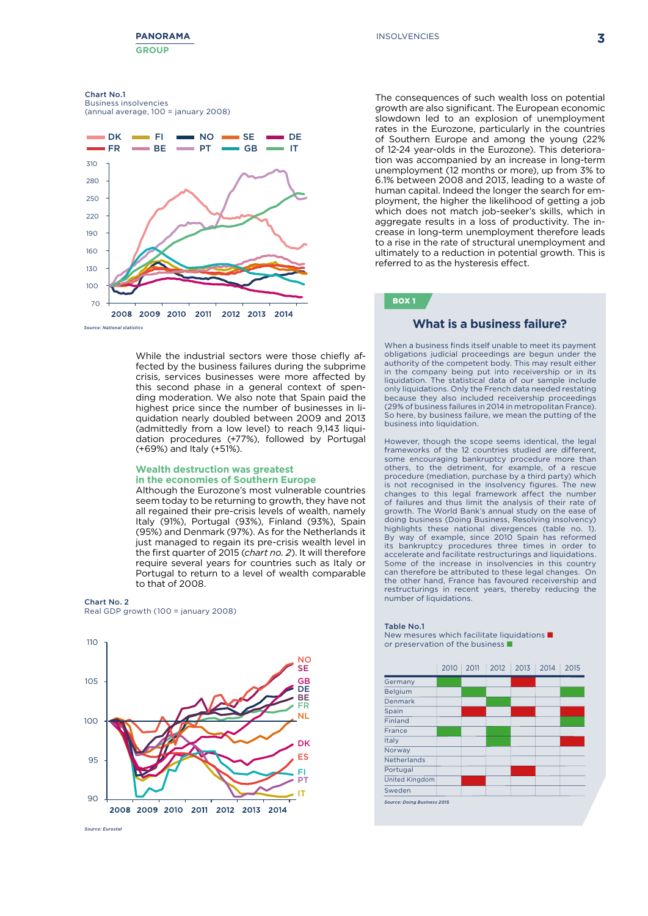

**3**

#### Chart No.1

Business insolvencies (annual average, 100 = january 2008)



While the industrial sectors were those chiefly affected by the business failures during the subprime crisis, services businesses were more affected by this second phase in a general context of spending moderation. We also note that Spain paid the highest price since the number of businesses in liquidation nearly doubled between 2009 and 2013 (admittedly from a low level) to reach 9,143 liquidation procedures (+77%), followed by Portugal (+69%) and Italy (+51%).

#### **Wealth destruction was greatest in the economies of Southern Europe**

Although the Eurozone's most vulnerable countries seem today to be returning to growth, they have not all regained their pre-crisis levels of wealth, namely Italy (91%), Portugal (93%), Finland (93%), Spain (95%) and Denmark (97%). As for the Netherlands it just managed to regain its pre-crisis wealth level in the first quarter of 2015 (*chart no. 2*). It will therefore require several years for countries such as Italy or Portugal to return to a level of wealth comparable to that of 2008.

Chart No. 2 Real GDP growth (100 = january 2008)



The consequences of such wealth loss on potential growth are also significant. The European economic slowdown led to an explosion of unemployment rates in the Eurozone, particularly in the countries of Southern Europe and among the young (22% of 12-24 year-olds in the Eurozone). This deterioration was accompanied by an increase in long-term unemployment (12 months or more), up from 3% to 6.1% between 2008 and 2013, leading to a waste of human capital. Indeed the longer the search for employment, the higher the likelihood of getting a job programme, the higher the intermitious of getting a job which does not match job-seeker's skills, which in which does not match job-seeker's skills, which in crease in long-term unemployment therefore leads to a rise in the rate of structural unemployment and ultimately to a reduction in potential growth. This is referred to as the hysteresis effect.

# BOX 1

When a business finds itself unable to meet its payment obligations judicial proceedings are begun under the authority of the competent body. This may result either in the company being put into receivership or in its liquidation. The statistical data of our sample include only liquidations. Only the French data needed restating because they also included receivership proceedings (29% of business failures in 2014 in metropolitan France). So here, by business failure, we mean the putting of the business into liquidation business into liquidation.

However, though the scope seems identical, the legal frameworks of the 12 countries studied are different, some encouraging bankruptcy procedure more than others, to the detriment, for example, of a rescue procedure (mediation, purchase by a third party) which is not recognised in the insolvency figures. The new changes to this legal framework affect the number of failures and thus limit the analysis of their rate of growth. The World Bank's annual study on the ease of doing business (Doing Business, Resolving insolvency) highlights these national divergences (table no. 1). By way of example, since 2010 Spain has reformed its bankruptcy procedures three times in order to accelerate and facilitate restructurings and liquidations. Some of the increase in insolvencies in this country can therefore be attributed to these legal changes. On the other hand, France has favoured receivership and restructurings in recent years, thereby reducing the number of liquidations. יי.<br>זמ way or example, since 2010 3pain has rero



T<mark>able No.1</mark><br>New mesures which facilitate liquidations **n** or preservation of the business  $\blacksquare$ 

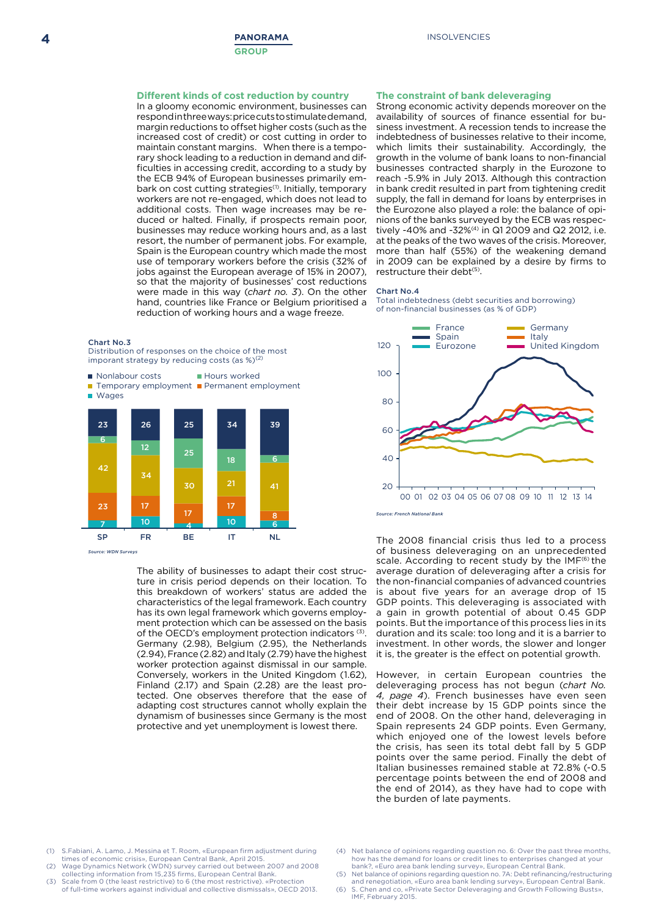#### **Different kinds of cost reduction by country**

In a gloomy economic environment, businesses can respond in three ways: price cuts to stimulate demand, margin reductions to offset higher costs (such as the 18 6 increased cost of credit) or cost cutting in order to maintain constant margins. When there is a temporary shock leading to a reduction in demand and difficulties in accessing credit, according to a study by the ECB 94% of European businesses primarily embark on cost cutting strategies<sup>(1)</sup>. Initially, temporary workers are not re-engaged, which does not lead to additional costs. Then wage increases may be reduced or halted. Finally, if prospects remain poor, businesses may reduce working hours and, as a last resort, the number of permanent jobs. For example, Spain is the European country which made the most use of temporary workers before the crisis (32% of jobs against the European average of 15% in 2007), so that the majority of businesses' cost reductions were made in this way (*chart no. 3*). On the other hand, countries like France or Belgium prioritised a reduction of working hours and a wage freeze.

#### Chart No.3

Distribution of responses on the choice of the most imporant strategy by reducing costs (as  $\%$ )<sup>(2)</sup>

 $\blacksquare$  Nonlabour costs **B** Hours worked

Temporary employment **Permanent employment** 



*Source: WDN Surveys*

adapting cost structures cannot wholly explain the tected. One observes therefore that the ease of dynamism of businesses since Germany is the most Finland (2.17) and Spain (2.28) are the least pro-The ability of businesses to adapt their cost structure in crisis period depends on their location. To this breakdown of workers' status are added the characteristics of the legal framework. Each country has its own legal framework which governs employment protection which can be assessed on the basis of the OECD's employment protection indicators (3). Germany (2.98), Belgium (2.95), the Netherlands (2.94), France (2.82) and Italy (2.79) have the highest worker protection against dismissal in our sample. Conversely, workers in the United Kingdom (1.62), protective and yet unemployment is lowest there.

#### **The constraint of bank deleveraging**

Strong economic activity depends moreover on the availability of sources of finance essential for business investment. A recession tends to increase the indebtedness of businesses relative to their income, which limits their sustainability. Accordingly, the growth in the volume of bank loans to non-financial businesses contracted sharply in the Eurozone to reach -5.9% in July 2013. Although this contraction in bank credit resulted in part from tightening credit supply, the fall in demand for loans by enterprises in the Eurozone also played a role: the balance of opinions of the banks surveyed by the ECB was respectively -40% and -32%(4) in Q1 2009 and Q2 2012, i.e. at the peaks of the two waves of the crisis. Moreover, more than half (55%) of the weakening demand in 2009 can be explained by a desire by firms to restructure their debt<sup>(5)</sup>.

#### Chart No.4

Total indebtedness (debt securities and borrowing) of non-financial businesses (as % of GDP)



investment. In other words, the slower and longer it is, the greater is the effect on potential growth. The 2008 financial crisis thus led to a process of business deleveraging on an unprecedented scale. According to recent study by the IMF<sup>(6)</sup> the average duration of deleveraging after a crisis for the non-financial companies of advanced countries is about five years for an average drop of 15 GDP points. This deleveraging is associated with a gain in growth potential of about 0.45 GDP points. But the importance of this process lies in its duration and its scale: too long and it is a barrier to

the burden of late payments. 40 Italian businesses remained stable at 72.8% (-0.5 the crisis, has seen its total debt fall by 5 GDP end of 2008. On the other hand, deleveraging in deleveraging process has not begun (chart No.<br>4, page 4). French businesses have even seen 00 01 02 03 04 05 06 07 08 09 10 11 12 13 14 However, in certain European countries the deleveraging process has not begun (*chart No.*  190 their debt increase by 15 GDP points since the Spain represents 24 GDP points. Even Germany, which enjoyed one of the lowest levels before points over the same period. Finally the debt of percentage points between the end of 2008 and the end of 2014), as they have had to cope with

- S.Fabiani, A. Lamo, J. Messina et T. Room, «European firm adjustment during times of economic crisis», European Central Bank, April 2015.
- collecting information from 15,235 firms, European Central Bank. (2) Wage Dynamics Network (WDN) survey carried out between 2007 and 2008
- (3) Scale from 0 (the least restrictive) to 6 (the most restrictive). «Protection of full-time workers against individual and collective dismissals», OECD 2013.
- Net balance of opinions regarding question no. 6: Over the past three months, how has the demand for loans or credit lines to enterprises changed at your bank?, «Euro area bank lending survey», European Central Bank.
- ink lending survey», European Central Bank.<br>Delayersing and Crowth Fallowing Bushau (5) Net balance of opinions regarding question no. 7A: Debt refinancing/restructuring and renegotiation, «Euro area bank lending survey», European Central Bank. (6) S. Chen and co, «Private Sector Deleveraging and Growth Following Busts»,
- From a property  $\mathcal{L}_B$  is the property of  $\mathcal{L}_B$  in  $\mathcal{L}_B$  is the property of  $\mathcal{L}_B$ IMF, February 2015.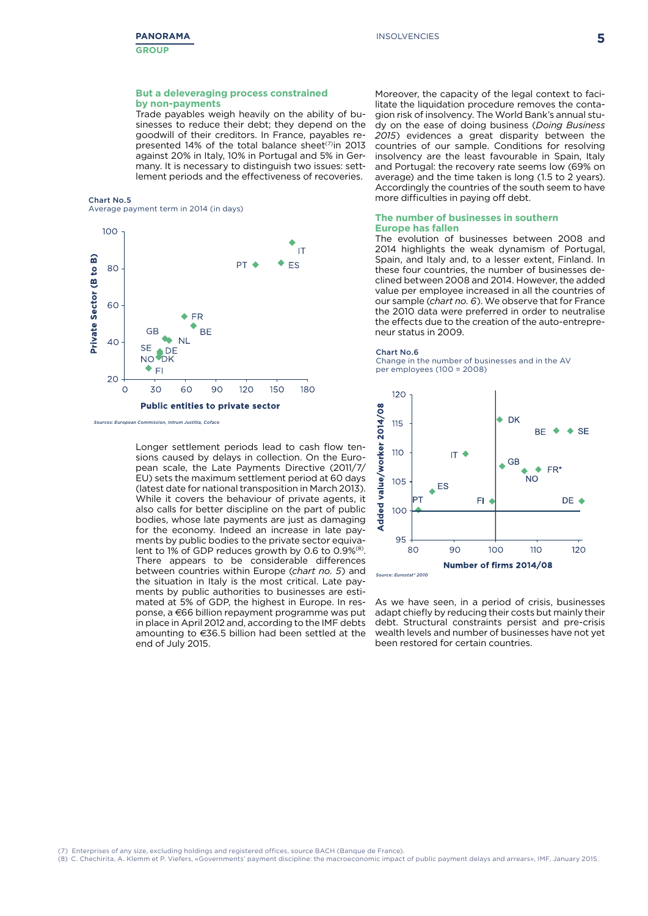#### **But a deleveraging process constrained by non-payments**

Trade payables weigh heavily on the ability of businesses to reduce their debt; they depend on the goodwill of their creditors. In France, payables represented 14% of the total balance sheet<sup>(7)</sup>in 2013 against 20% in Italy, 10% in Portugal and 5% in Germany. It is necessary to distinguish two issues: settlement periods and the effectiveness of recoveries.

#### Chart No.5 Average payment term in 2014 (in days)



Moreover, the capacity of the legal context to facilitate the liquidation procedure removes the contagion risk of insolvency. The World Bank's annual study on the ease of doing business (*Doing Business 2015*) evidences a great disparity between the countries of our sample. Conditions for resolving insolvency are the least favourable in Spain, Italy and Portugal: the recovery rate seems low (69% on average) and the time taken is long (1.5 to 2 years). Accordingly the countries of the south seem to have more difficulties in paying off debt.

#### **The number of businesses in southern Europe has fallen**

The evolution of businesses between 2008 and 2014 highlights the weak dynamism of Portugal, Spain, and Italy and, to a lesser extent, Finland. In these four countries, the number of businesses declined between 2008 and 2014. However, the added value per employee increased in all the countries of our sample (*chart no. 6*). We observe that for France the 2010 data were preferred in order to neutralise the effects due to the creation of the auto-entrepreneur status in 2009.

#### Chart No.6

Change in the number of businesses and in the AV per employees (100 = 2008)



As we have seen, in a period of crisis, businesses adapt chiefly by reducing their costs but mainly their debt. Structural constraints persist and pre-crisis wealth levels and number of businesses have not yet been restored for certain countries.

amounting to €36.5 billion had been settled at the mated at 5% of GDP, the highest in Europe. In resbetween counties within Europe (chart no. 5) and<br>the situation in Italy is the most critical. Late pay-11.1.1.1.1.1.1.<sub>1</sub>, part is the complete to the private sector separation of the test of the test of the test o<br>lent to 1% of GDP reduces growth by 0.6 to 0.9%<sup>(8)</sup>. for the economy. Indeed an increase in late payments by public bodies to the private sector equiva-Longer settlement periods lead to cash flow tensions caused by delays in collection. On the European scale, the Late Payments Directive (2011/7/ EU) sets the maximum settlement period at 60 days (latest date for national transposition in March 2013). While it covers the behaviour of private agents, it also calls for better discipline on the part of public bodies, whose late payments are just as damaging There appears to be considerable differences between countries within Europe (*chart no. 5*) and ments by public authorities to businesses are estiponse, a €66 billion repayment programme was put in place in April 2012 and, according to the IMF debts end of July 2015.

Enterprises of any size, excluding holdings and registered offices, source BACH (Banque de France).

20 250 (8) C. Chechirita, A. Klemm et P. Viefers, «Governments' payment discipline: the macroeconomic impact of public payment delays and arrears», IMF, January 2015.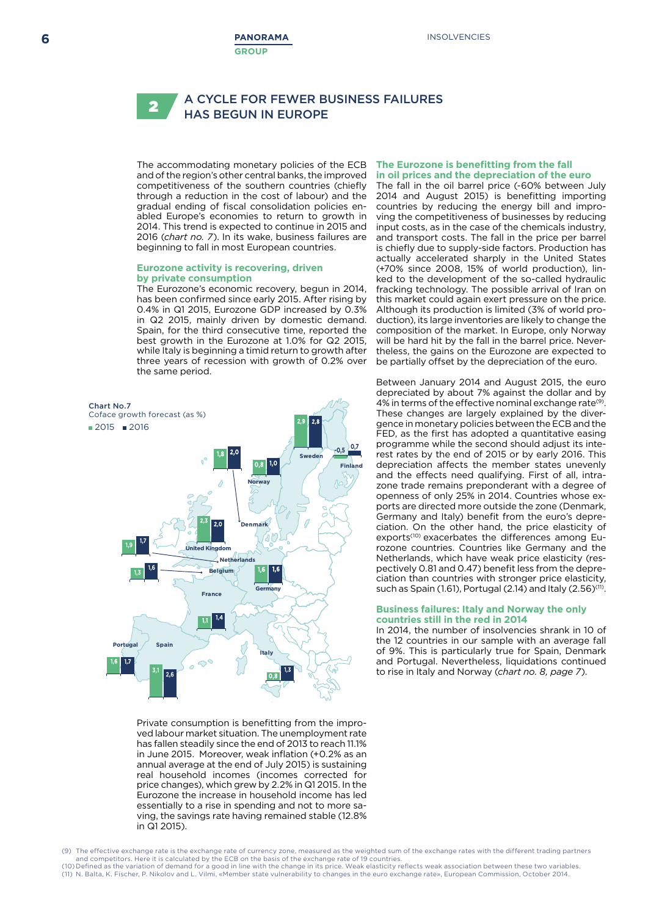#### A CYCLE FOR FEWER BUSINESS FAILURES **Nonlandon In Europe** 2

The accommodating monetary policies of the ECB and of the region's other central banks, the improved competitiveness of the southern countries (chiefly through a reduction in the cost of labour) and the gradual ending of fiscal consolidation policies enabled Europe's economies to return to growth in 2014. This trend is expected to continue in 2015 and 2014. This defia is expected to continue in 2015 and<br>2016 (*chart no. 7*). In its wake, business failures are beginning to fall in most European countries. 23 17

#### **Eurozone activity is recovering, driven**  17 8 **by private consumption**

The Eurozone's economic recovery, begun in 2014, has been confirmed since early 2015. After rising by 0.4% in Q1 2015, Eurozone GDP increased by 0.3% in Q2 2015, mainly driven by domestic demand. Spain, for the third consecutive time, reported the best growth in the Eurozone at 1.0% for Q2 2015, while Italy is beginning a timid return to growth after three years of recession with growth of 0.2% over the same period.



Private consumption is benefitting from the improved labour market situation. The unemployment rate has fallen steadily since the end of 2013 to reach 11.1% in June 2015. Moreover, weak inflation (+0.2% as an annual average at the end of July 2015) is sustaining real household incomes (incomes corrected for price changes), which grew by 2.2% in Q1 2015. In the Eurozone the increase in household income has led essentially to a rise in spending and not to more saving, the savings rate having remained stable (12.8% in Q1 2015).

#### **The Eurozone is benefitting from the fall in oil prices and the depreciation of the euro**

The fall in the oil barrel price (-60% between July 2014 and August 2015) is benefitting importing countries by reducing the energy bill and improving the competitiveness of businesses by reducing input costs, as in the case of the chemicals industry, and transport costs. The fall in the price per barrel is chiefly due to supply-side factors. Production has actually accelerated sharply in the United States (+70% since 2008, 15% of world production), linked to the development of the so-called hydraulic fracking technology. The possible arrival of Iran on this market could again exert pressure on the price. Although its production is limited (3% of world production), its large inventories are likely to change the composition of the market. In Europe, only Norway will be hard hit by the fall in the barrel price. Nevertheless, the gains on the Eurozone are expected to be partially offset by the depreciation of the euro.

Between January 2014 and August 2015, the euro depreciated by about 7% against the dollar and by 4% in terms of the effective nominal exchange rate<sup>(9)</sup>. These changes are largely explained by the divergence in monetary policies between the ECB and the FED, as the first has adopted a quantitative easing programme while the second should adjust its interest rates by the end of 2015 or by early 2016. This depreciation affects the member states unevenly and the effects need qualifying. First of all, intrazone trade remains preponderant with a degree of openness of only 25% in 2014. Countries whose exports are directed more outside the zone (Denmark, Germany and Italy) benefit from the euro's depreciation. On the other hand, the price elasticity of exports<sup>(10)</sup> exacerbates the differences among Eurozone countries. Countries like Germany and the Netherlands, which have weak price elasticity (respectively 0.81 and 0.47) benefit less from the depre-20 poeming crossing or *if* y scribin research that applies clation than countries with stronger price elasticity, such as Spain (1.61), Portugal (2.14) and Italy (2.56)<sup>(11)</sup>.

#### **Business failures: Italy and Norway the only countries still in the red in 2014**

In 2014, the number of insolvencies shrank in 10 of the 12 countries in our sample with an average fall of 9%. This is particularly true for Spain, Denmark and Portugal. Nevertheless, liquidations continued to rise in Italy and Norway (*chart no. 8, page 7*).

(9) The effective exchange rate is the exchange rate of currency zone, measured as the weighted sum of the exchange rates with the different trading partners and competitors. Here it is calculated by the ECB on the basis of the exchange rate of 19 countries. (10) Defined as the variation of demand for a good in line with the change in its price. Weak elasticity reflects weak association between these two variables. (11) N. Balta, K. Fischer, P. Nikolov and L. Vilmi, «Member state vulnerability to changes in the euro exchange rate», European Commission, October 2014.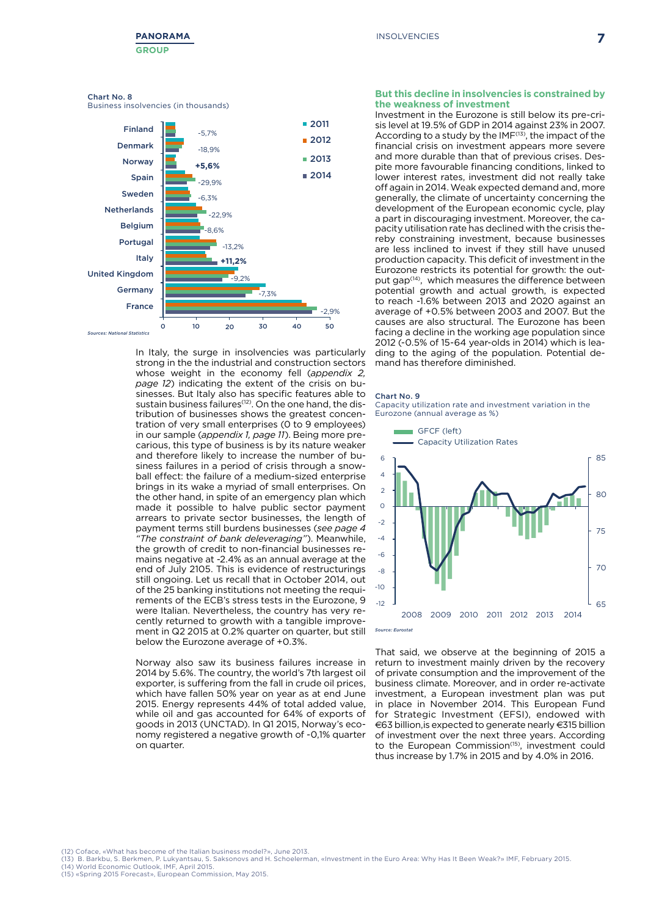#### Chart No. 8

Business insolvencies (in thousands)



In Italy, the surge in insolvencies was particularly strong in the the industrial and construction sectors whose weight in the economy fell (*appendix 2, page 12*) indicating the extent of the crisis on businesses. But Italy also has specific features able to sustain business failures<sup>(12)</sup>. On the one hand, the distribution of businesses shows the greatest concentration of very small enterprises (0 to 9 employees) in our sample (*appendix 1, page 11*). Being more precarious, this type of business is by its nature weaker and therefore likely to increase the number of business failures in a period of crisis through a snowball effect: the failure of a medium-sized enterprise brings in its wake a myriad of small enterprises. On the other hand, in spite of an emergency plan which made it possible to halve public sector payment arrears to private sector businesses, the length of payment terms still burdens businesses (*see page 4 "The constraint of bank deleveraging"*). Meanwhile, the growth of credit to non-financial businesses remains negative at -2.4% as an annual average at the end of July 2105. This is evidence of restructurings still ongoing. Let us recall that in October 2014, out of the 25 banking institutions not meeting the requirements of the ECB's stress tests in the Eurozone, 9 were Italian. Nevertheless, the country has very recently returned to growth with a tangible improvement in Q2 2015 at 0.2% quarter on quarter, but still below the Eurozone average of +0.3%.

Norway also saw its business failures increase in 2014 by 5.6%. The country, the world's 7th largest oil exporter, is suffering from the fall in crude oil prices, which have fallen 50% year on year as at end June 2015. Energy represents 44% of total added value, while oil and gas accounted for 64% of exports of goods in 2013 (UNCTAD). In Q1 2015, Norway's economy registered a negative growth of -0,1% quarter on quarter.

#### **But this decline in insolvencies is constrained by the weakness of investment**

Investment in the Eurozone is still below its pre-crisis level at 19.5% of GDP in 2014 against 23% in 2007. According to a study by the IMF<sup>(13)</sup>, the impact of the financial crisis on investment appears more severe and more durable than that of previous crises. Despite more favourable financing conditions, linked to lower interest rates, investment did not really take off again in 2014. Weak expected demand and, more generally, the climate of uncertainty concerning the development of the European economic cycle, play a part in discouraging investment. Moreover, the capacity utilisation rate has declined with the crisis thereby constraining investment, because businesses are less inclined to invest if they still have unused production capacity. This deficit of investment in the Eurozone restricts its potential for growth: the output gap<sup>(14)</sup>, which measures the difference between potential growth and actual growth, is expected to reach -1.6% between 2013 and 2020 against an average of +0.5% between 2003 and 2007. But the causes are also structural. The Eurozone has been facing a decline in the working age population since 2012 (-0.5% of 15-64 year-olds in 2014) which is leading to the aging of the population. Potential demand has therefore diminished.

#### Chart No. 9

Capacity utilization rate and investment variation in the Eurozone (annual average as %)



That said, we observe at the beginning of 2015 a return to investment mainly driven by the recovery of private consumption and the improvement of the business climate. Moreover, and in order re-activate investment, a European investment plan was put investment, a Luropean investment plan was put<br>in place in November 2014. This European Fund for Strategic Investment (EFSI), endowed with  $C_2$  billion is expected to generate party  $C_2$  and billion  $\epsilon$ 63 billion, is expected to generate nearly  $\epsilon$ 315 billion of investment over the next three years. According<br>the the European Commission<sup>(15)</sup> investment apulal to the European Commission<sup>(15)</sup>, investment could thus increase by  $1.7\%$  in 2015 and by  $4.0\%$  in 2016.

(12) Coface, «What has become of the Italian business model?», June 2013.

- (13) B. Barkbu, S. Berkmen, P. Lukyantsau, S. Saksonovs and H. Schoelerman, «Investment in the Euro Area: Why Has It Been Weak?» IMF, February 2015.<br>(14) World Economic Outlook. IMF. April 2015. (14) World Economic Outlook, IMF, April 2015. 90
- (15) «Spring 2015 Forecast», European Commission, May 2015.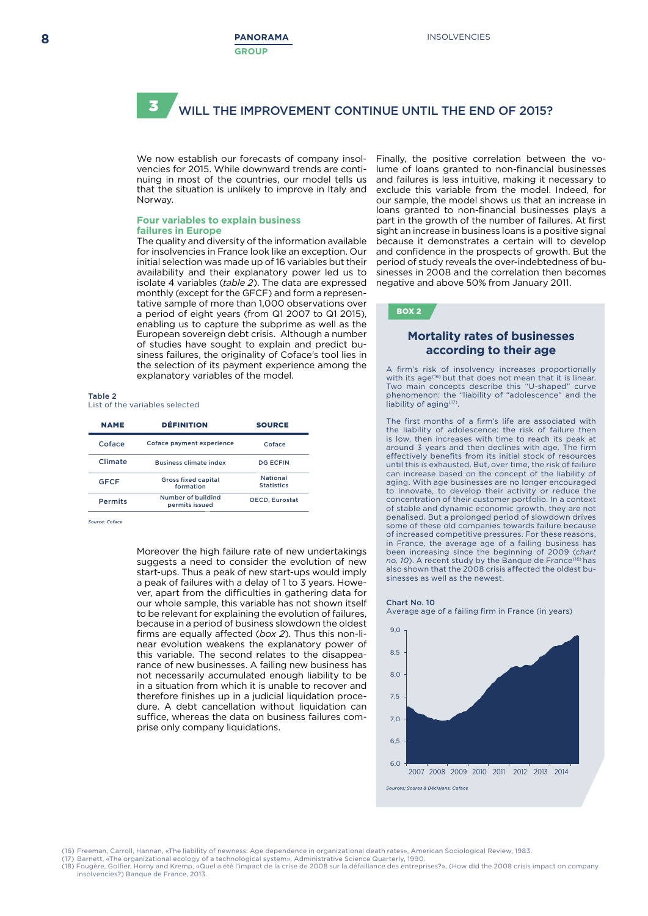#### WILL THE IMPROVEMENT CONTINUE UNTIL THE END OF 2015? 3

We now establish our forecasts of company insolvencies for 2015. While downward trends are continuing in most of the countries, our model tells us that the situation is unlikely to improve in Italy and Norway.

#### **Four variables to explain business failures in Europe**

The quality and diversity of the information available for insolvencies in France look like an exception. Our initial selection was made up of 16 variables but their availability and their explanatory power led us to isolate 4 variables (*table 2*). The data are expressed monthly (except for the GFCF) and form a representative sample of more than 1,000 observations over a period of eight years (from Q1 2007 to Q1 2015), enabling us to capture the subprime as well as the European sovereign debt crisis. Although a number of studies have sought to explain and predict business failures, the originality of Coface's tool lies in the selection of its payment experience among the explanatory variables of the model.

#### Table 2

#### List of the variables selected

| <b>NAME</b>    | <b>DÉFINITION</b>                       | <b>SOURCE</b>                        |  |
|----------------|-----------------------------------------|--------------------------------------|--|
| Coface         | Coface payment experience               | Coface                               |  |
| Climate        | <b>Business climate index</b>           | DG ECEIN                             |  |
| <b>GFCF</b>    | <b>Gross fixed capital</b><br>formation | <b>National</b><br><b>Statistics</b> |  |
| <b>Permits</b> | Number of buildind<br>permits issued    | <b>OECD. Eurostat</b>                |  |

*Source: Coface*

Moreover the high failure rate of new undertakings suggests a need to consider the evolution of new start-ups. Thus a peak of new start-ups would imply a peak of failures with a delay of 1 to 3 years. However, apart from the difficulties in gathering data for our whole sample, this variable has not shown itself to be relevant for explaining the evolution of failures, because in a period of business slowdown the oldest firms are equally affected (*box 2*). Thus this non-linear evolution weakens the explanatory power of this variable. The second relates to the disappearance of new businesses. A failing new business has not necessarily accumulated enough liability to be in a situation from which it is unable to recover and therefore finishes up in a judicial liquidation procedure. A debt cancellation without liquidation can suffice, whereas the data on business failures comprise only company liquidations.

Finally, the positive correlation between the volume of loans granted to non-financial businesses and failures is less intuitive, making it necessary to exclude this variable from the model. Indeed, for our sample, the model shows us that an increase in loans granted to non-financial businesses plays a part in the growth of the number of failures. At first sight an increase in business loans is a positive signal because it demonstrates a certain will to develop and confidence in the prospects of growth. But the period of study reveals the over-indebtedness of businesses in 2008 and the correlation then becomes negative and above 50% from January 2011.

#### BOX 2

### **Mortality rates of businesses according to their age**

A firm's risk of insolvency increases proportionally with its age<sup>(16)</sup> but that does not mean that it is linear. Two main concepts describe this "U-shaped" curve phenomenon: the "liability of "adolescence" and the liability of aging(17).

The first months of a firm's life are associated with the liability of adolescence: the risk of failure then is low, then increases with time to reach its peak at around 3 years and then declines with age. The firm effectively benefits from its initial stock of resources until this is exhausted. But, over time, the risk of failure can increase based on the concept of the liability of aging. With age businesses are no longer encouraged to innovate, to develop their activity or reduce the concentration of their customer portfolio. In a context of stable and dynamic economic growth, they are not penalised. But a prolonged period of slowdown drives some of these old companies towards failure because of increased competitive pressures. For these reasons, in France, the average age of a failing business has been increasing since the beginning of 2009 (*chart no. 10*). A recent study by the Banque de France(18) has also shown that the 2008 crisis affected the oldest businesses as well as the newest.

#### Chart No. 10

Average age of a failing firm in France (in years)



.<br>(16) Freeman, Carroll, Hannan, «The liability of newness: Age dependence in organizational death rates», American Sociological Review, 1983.

(17) Barnett, «The organizational ecology of a technological system», Administrative Science Quarterly, 1990.<br>(18) Fougère, Golfier, Horny and Kremp, «Quel a été l'impact de la crise de 2008 sur la défaillance des entrepri

insolvencies?) Banque de France, 2013.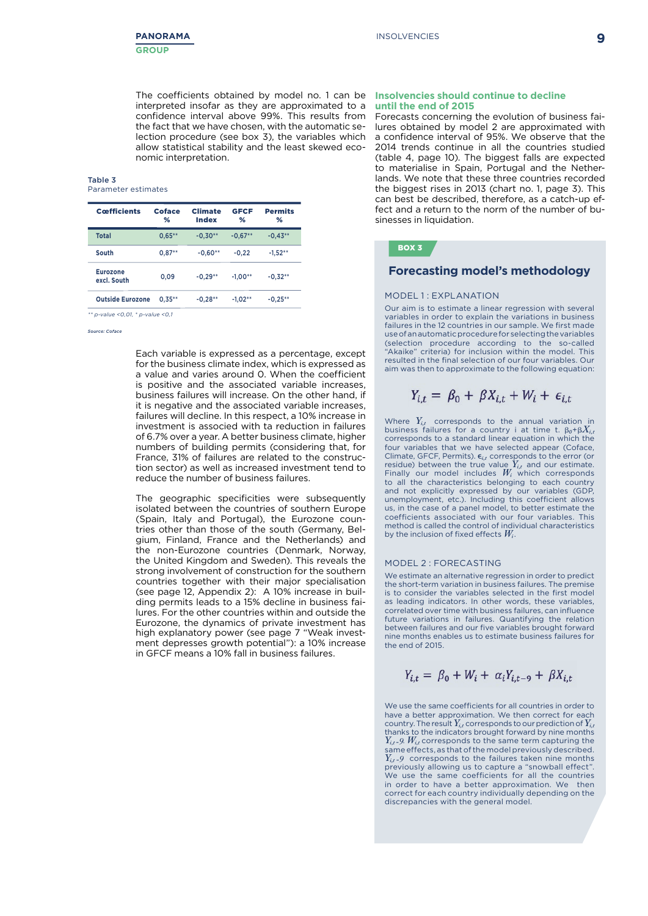The coefficients obtained by model no. 1 can be **Insolvencies should continue to decline**  interpreted insofar as they are approximated to a confidence interval above 99%. This results from the fact that we have chosen, with the automatic selection procedure (see box 3), the variables which allow statistical stability and the least skewed economic interpretation.

#### Table 3 Parameter estimates

| <b>Cœfficients</b>             | Coface<br>℅ | <b>Climate</b><br>Index | <b>GFCF</b><br>% | <b>Permits</b><br>% |
|--------------------------------|-------------|-------------------------|------------------|---------------------|
| <b>Total</b>                   | $0.65***$   | $-0.30**$               | $-0.67**$        | $-0.43**$           |
| South                          | $0.87**$    | $-0.60**$               | $-0.22$          | $-1.52**$           |
| <b>Eurozone</b><br>excl. South | 0,09        | $-0.29**$               | $-1.00**$        | $-0.32**$           |
| <b>Outside Eurozone</b>        | $0.35***$   | $-0.28**$               | $-1.02**$        | $-0.25***$          |

*\*\* p-value <0,01, \* p-value <0,1*

*Source: Coface*

Each variable is expressed as a percentage, except for the business climate index, which is expressed as a value and varies around 0. When the coefficient is positive and the associated variable increases, business failures will increase. On the other hand, if it is negative and the associated variable increases, failures will decline. In this respect, a 10% increase in investment is associed with ta reduction in failures of 6.7% over a year. A better business climate, higher numbers of building permits (considering that, for France, 31% of failures are related to the construction sector) as well as increased investment tend to reduce the number of business failures.

The geographic specificities were subsequently isolated between the countries of southern Europe (Spain, Italy and Portugal), the Eurozone countries other than those of the south (Germany, Belgium, Finland, France and the Netherlands) and the non-Eurozone countries (Denmark, Norway, the United Kingdom and Sweden). This reveals the strong involvement of construction for the southern countries together with their major specialisation (see page 12, Appendix 2): A 10% increase in building permits leads to a 15% decline in business failures. For the other countries within and outside the Eurozone, the dynamics of private investment has high explanatory power (see page 7 "Weak investment depresses growth potential"): a 10% increase in GFCF means a 10% fall in business failures.

# **until the end of 2015**

Forecasts concerning the evolution of business failures obtained by model 2 are approximated with a confidence interval of 95%. We observe that the 2014 trends continue in all the countries studied (table 4, page 10). The biggest falls are expected to materialise in Spain, Portugal and the Netherlands. We note that these three countries recorded the biggest rises in 2013 (chart no. 1, page 3). This can best be described, therefore, as a catch-up effect and a return to the norm of the number of businesses in liquidation.

### BOX 3

#### **Forecasting model's methodology**

#### MODEL 1: EXPLANATION

Our aim is to estimate a linear regression with several variables in order to explain the variations in business failures in the 12 countries in our sample. We first made use of an automatic procedure for selecting the variables (selection procedure according to the so-called "Akaike" criteria) for inclusion within the model. This resulted in the final selection of our four variables. Our aim was then to approximate to the following equation:

$$
Y_{i,t} = \beta_0 + \beta X_{i,t} + W_i + \epsilon_{i,t}
$$

Where  $Y_{i,t}$  corresponds to the annual variation in business failures for a country i at time t.  $\beta_0 + \beta X_{i,t}$ corresponds to a standard linear equation in which the four variables that we have selected appear (Coface, Climate, GFCF, Permits).  $\epsilon_{i,t}$  corresponds to the error (or residue) between the true value  $Y_{i,t}$  and our estimate. Finally our model includes *Wi* which corresponds to all the characteristics belonging to each country and not explicitly expressed by our variables (GDP, unemployment, etc.). Including this coefficient allows us, in the case of a panel model, to better estimate the coefficients associated with our four variables. This method is called the control of individual characteristics by the inclusion of fixed effects *Wi* .

#### MODEL 2 : FORECASTING

We estimate an alternative regression in order to predict the short-term variation in business failures. The premise is to consider the variables selected in the first model as leading indicators. In other words, these variables, correlated over time with business failures, can influence future variations in failures. Quantifying the relation between failures and our five variables brought forward nine months enables us to estimate business failures for the end of 2015.

$$
Y_{i,t} = \beta_0 + W_i + \alpha_i Y_{i,t-9} + \beta X_{i,t}
$$

We use the same coefficients for all countries in order to have a better approximation. We then correct for each country. The result  $Y_{i,t}$  corresponds to our prediction of  $Y_{i,t}$ thanks to the indicators brought forward by nine months  $Y_{i,t}$ -9.  $W_{i,t}$  corresponds to the same term capturing the same effects, as that of the model previously described. *Y<sub>it-</sub>9* corresponds to the failures taken nine months previously allowing us to capture a "snowball effect". We use the same coefficients for all the countries in order to have a better approximation. We then correct for each country individually depending on the discrepancies with the general model.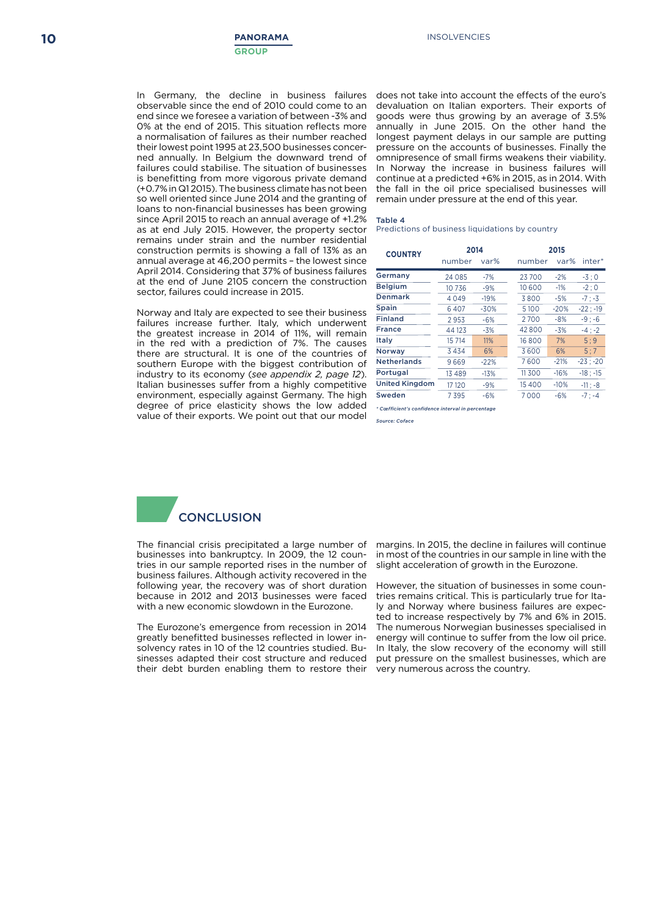observable since the end of 2010 could come to an end since we foresee a variation of between -3% and 0% at the end of 2015. This situation reflects more a normalisation of failures as their number reached their lowest point 1995 at 23,500 businesses concerned annually. In Belgium the downward trend of failures could stabilise. The situation of businesses is benefitting from more vigorous private demand (+0.7% in Q1 2015). The business climate has not been so well oriented since June 2014 and the granting of loans to non-financial businesses has been growing since April 2015 to reach an annual average of +1.2% as at end July 2015. However, the property sector remains under strain and the number residential construction permits is showing a fall of 13% as an annual average at 46,200 permits – the lowest since April 2014. Considering that 37% of business failures at the end of June 2105 concern the construction sector, failures could increase in 2015.

Norway and Italy are expected to see their business failures increase further. Italy, which underwent the greatest increase in 2014 of 11%, will remain in the red with a prediction of 7%. The causes there are structural. It is one of the countries of southern Europe with the biggest contribution of industry to its economy (*see appendix 2, page 12*). Italian businesses suffer from a highly competitive environment, especially against Germany. The high degree of price elasticity shows the low added value of their exports. We point out that our model

In Germany, the decline in business failures does not take into account the effects of the euro's devaluation on Italian exporters. Their exports of goods were thus growing by an average of 3.5% annually in June 2015. On the other hand the longest payment delays in our sample are putting pressure on the accounts of businesses. Finally the omnipresence of small firms weakens their viability. In Norway the increase in business failures will continue at a predicted +6% in 2015, as in 2014. With the fall in the oil price specialised businesses will remain under pressure at the end of this year.

#### Table 4

Predictions of business liquidations by country

| <b>COUNTRY</b>        | 2014     |        | 2015 |        |        |            |
|-----------------------|----------|--------|------|--------|--------|------------|
|                       | number   | var%   |      | number | var%   | inter*     |
| Germany               | 24 0 8 5 | $-7%$  |      | 23700  | $-2%$  | $-3:0$     |
| <b>Belgium</b>        | 10736    | $-9%$  |      | 10 600 | $-1%$  | $-2:0$     |
| <b>Denmark</b>        | 4049     | $-19%$ |      | 3800   | -5%    | $-7: -3$   |
| <b>Spain</b>          | 6407     | $-30%$ |      | 5100   | $-20%$ | $-22: -19$ |
| <b>Finland</b>        | 2953     | $-6%$  |      | 2700   | $-8%$  | $-9: -6$   |
| <b>France</b>         | 44 123   | $-3%$  |      | 42800  | $-3%$  | $-4: -2$   |
| <b>Italy</b>          | 15 714   | 11%    |      | 16800  | 7%     | 5:9        |
| <b>Norway</b>         | 3434     | 6%     |      | 3600   | 6%     | 5:7        |
| <b>Netherlands</b>    | 9669     | $-22%$ |      | 7600   | $-21%$ | $-23: -20$ |
| Portugal              | 13 4 8 9 | $-13%$ |      | 11300  | $-16%$ | $-18: -15$ |
| <b>United Kingdom</b> | 17 120   | $-9%$  |      | 15 400 | $-10%$ | $-11: -8$  |
| Sweden                | 7 3 9 5  | $-6%$  |      | 7000   | $-6%$  | $-7: -4$   |

*\* Cœfficient's confidence interval in percentage*

*Source: Coface*



The financial crisis precipitated a large number of businesses into bankruptcy. In 2009, the 12 countries in our sample reported rises in the number of business failures. Although activity recovered in the following year, the recovery was of short duration because in 2012 and 2013 businesses were faced with a new economic slowdown in the Eurozone.

The Eurozone's emergence from recession in 2014 greatly benefitted businesses reflected in lower insolvency rates in 10 of the 12 countries studied. Businesses adapted their cost structure and reduced their debt burden enabling them to restore their margins. In 2015, the decline in failures will continue in most of the countries in our sample in line with the slight acceleration of growth in the Eurozone.

However, the situation of businesses in some countries remains critical. This is particularly true for Italy and Norway where business failures are expected to increase respectively by 7% and 6% in 2015. The numerous Norwegian businesses specialised in energy will continue to suffer from the low oil price. In Italy, the slow recovery of the economy will still put pressure on the smallest businesses, which are very numerous across the country.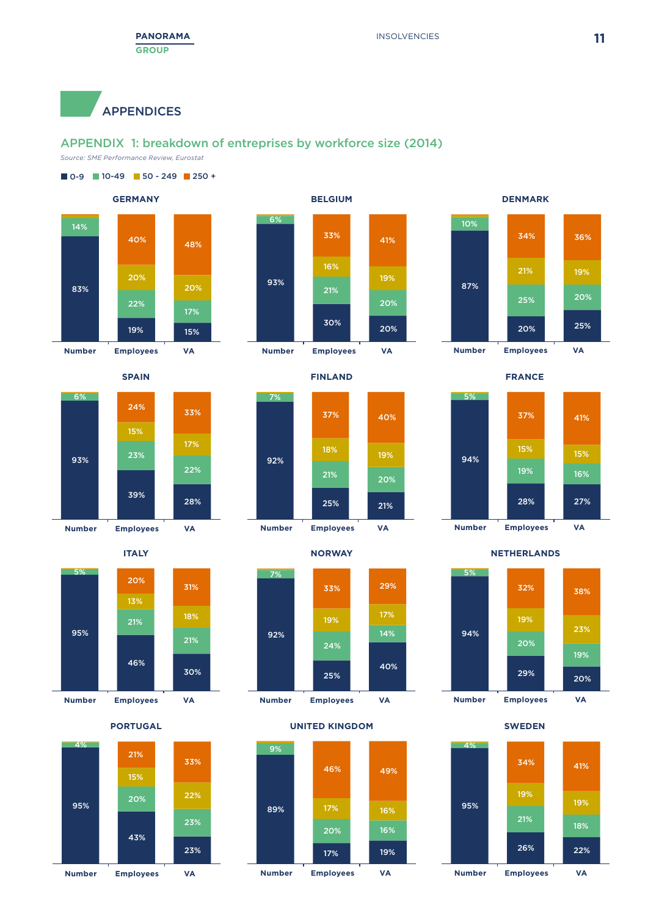APPENDICES

### APPENDIX 1: breakdown of entreprises by workforce size (2014)

*Source: SME Performance Review, Eurostat*

















#### **PORTUGAL UNITED KINGDOM SWEDEN**



**ITALY NORWAY NETHERLANDS**

28% 27%

19% 16% 15% 15%

37% 41%

94%

5%



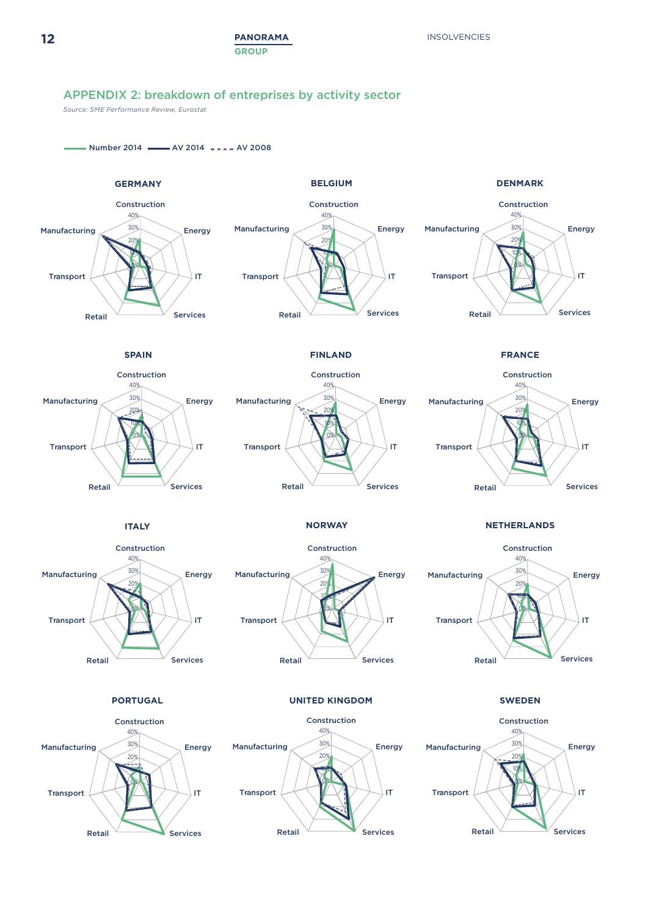## APPENDIX 2: breakdown of entreprises by activity sector

*Source: SME Performance Review, Eurostat*

 $-$  Number 2014  $-$  AV 2014  $-$  AV 2008

Services

Retail



Retail Services

 $Reta$ il  $\sim$  Services

**12**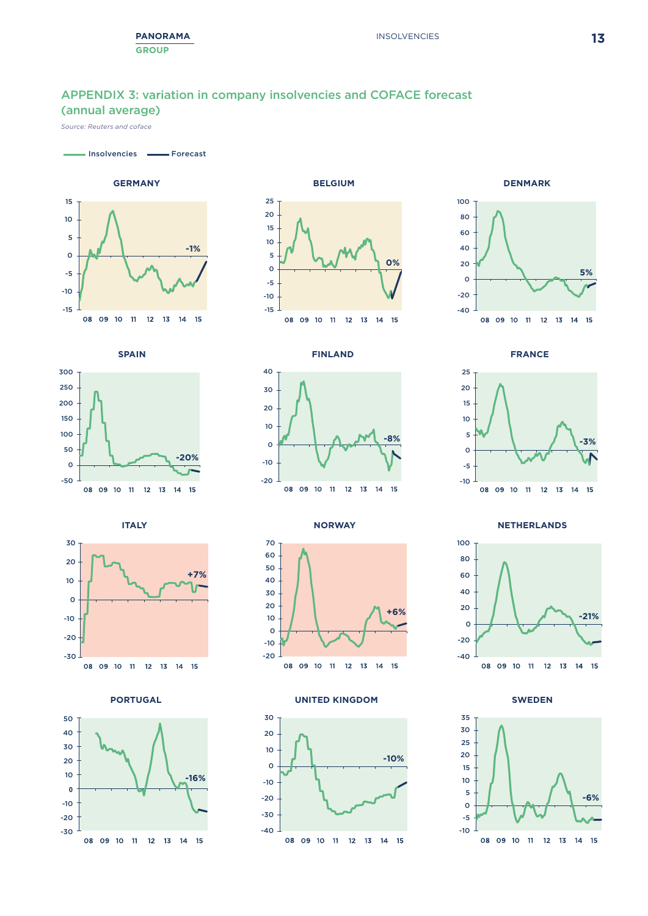## APPENDIX 3: variation in company insolvencies and COFACE forecast (annual average)

*Source: Reuters and coface*

Insolvencies **Forecast** 























**PORTUGAL UNITED KINGDOM SWEDEN**





**-3%**

-10 08 09 10 11 12 13 14 15

**ITALY NORWAY NETHERLANDS**